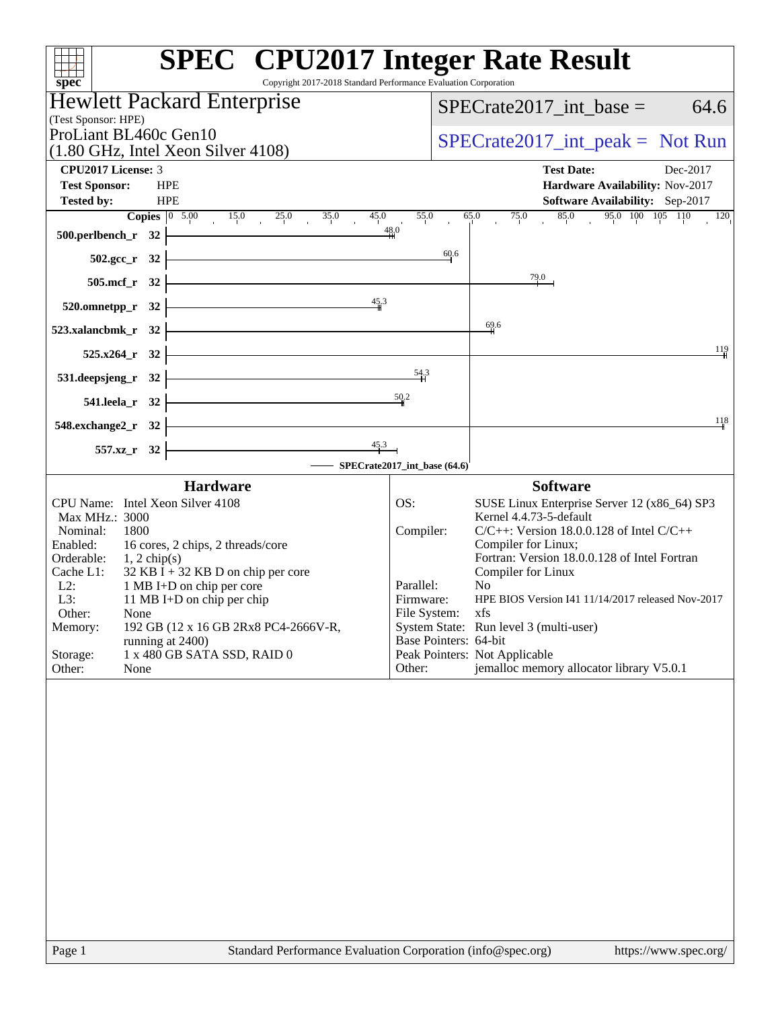| <b>SPEC<sup>®</sup></b> CPU2017 Integer Rate Result<br>Copyright 2017-2018 Standard Performance Evaluation Corporation<br>spec®                                                                |                                                            |                                                   |
|------------------------------------------------------------------------------------------------------------------------------------------------------------------------------------------------|------------------------------------------------------------|---------------------------------------------------|
| <b>Hewlett Packard Enterprise</b>                                                                                                                                                              |                                                            | $SPECrate2017$ _int_base =<br>64.6                |
| (Test Sponsor: HPE)                                                                                                                                                                            |                                                            |                                                   |
| ProLiant BL460c Gen10<br>$(1.80 \text{ GHz}, \text{Intel Xeon Silver } 4108)$                                                                                                                  |                                                            | $SPECrate2017\_int\_peak = Not Run$               |
| <b>CPU2017 License: 3</b>                                                                                                                                                                      |                                                            | <b>Test Date:</b><br>Dec-2017                     |
| <b>Test Sponsor:</b><br><b>HPE</b>                                                                                                                                                             |                                                            | Hardware Availability: Nov-2017                   |
| <b>Tested by:</b><br><b>HPE</b>                                                                                                                                                                |                                                            | Software Availability: Sep-2017                   |
| <b>Copies</b> $\begin{array}{ccc ccc} 0 & 5.00 & 15.0 & 25.0 & 35.0 & 45.0 \\ & & 15.0 & 25.0 & 35.0 & 45.0 \\ & & & 15.0 & 35.0 & 45.0 \\ \end{array}$<br>500.perlbench_r 32 $\frac{48.0}{4}$ |                                                            | 55.0 65.0 75.0 85.0 95.0 100 105 110 120          |
| 502.gcc_r 32 $\frac{60.6}{1}$                                                                                                                                                                  |                                                            |                                                   |
| $505.\text{mcf}_r$ $32$                                                                                                                                                                        | 79.0                                                       |                                                   |
|                                                                                                                                                                                                |                                                            |                                                   |
| 520.omnetpp_r 32 $\frac{45}{4}$                                                                                                                                                                |                                                            |                                                   |
| $523.xalancbmk_r$ $32$ $\overline{\phantom{a}}$                                                                                                                                                | 69.6                                                       |                                                   |
| $525.x264_r$ 32                                                                                                                                                                                |                                                            | 119                                               |
| 531.deepsjeng_r 32 $\frac{54.3}{11}$                                                                                                                                                           |                                                            |                                                   |
| 541.leela_r 32 $\frac{50}{2}$                                                                                                                                                                  |                                                            |                                                   |
| $548$ .exchange2_r $32$ $\overline{\phantom{a}}$                                                                                                                                               |                                                            | 118                                               |
| $\overline{\phantom{a}45.3}$                                                                                                                                                                   |                                                            |                                                   |
| $557.xz$ <sub>r</sub> 32<br>-SPECrate2017_int_base (64.6)                                                                                                                                      |                                                            |                                                   |
| <b>Hardware</b>                                                                                                                                                                                |                                                            | <b>Software</b>                                   |
| CPU Name: Intel Xeon Silver 4108                                                                                                                                                               | OS:                                                        | SUSE Linux Enterprise Server 12 (x86_64) SP3      |
| Max MHz.: 3000<br>Nominal:<br>1800                                                                                                                                                             | Kernel 4.4.73-5-default<br>Compiler:                       | $C/C++$ : Version 18.0.0.128 of Intel $C/C++$     |
| Enabled:<br>16 cores, 2 chips, 2 threads/core                                                                                                                                                  | Compiler for Linux;                                        |                                                   |
| Orderable: $1, 2 \text{ chip(s)}$                                                                                                                                                              |                                                            | Fortran: Version 18.0.0.128 of Intel Fortran      |
| Cache L1:<br>$32$ KB I + 32 KB D on chip per core<br>L2:<br>1 MB I+D on chip per core                                                                                                          | Compiler for Linux<br>Parallel:<br>N <sub>0</sub>          |                                                   |
| L3:<br>11 MB I+D on chip per chip                                                                                                                                                              | Firmware:                                                  | HPE BIOS Version I41 11/14/2017 released Nov-2017 |
| Other:<br>None<br>192 GB (12 x 16 GB 2Rx8 PC4-2666V-R,                                                                                                                                         | File System: xfs<br>System State: Run level 3 (multi-user) |                                                   |
| Memory:<br>running at 2400)                                                                                                                                                                    | Base Pointers: 64-bit                                      |                                                   |
| 1 x 480 GB SATA SSD, RAID 0<br>Storage:                                                                                                                                                        | Peak Pointers: Not Applicable                              |                                                   |
| Other:<br>None                                                                                                                                                                                 | Other:                                                     | jemalloc memory allocator library V5.0.1          |
|                                                                                                                                                                                                |                                                            |                                                   |
| $D_{0}$ on 1<br>Standard Derformance Evaluation Corporation (info@gnee.org)                                                                                                                    |                                                            | http://www.000000/                                |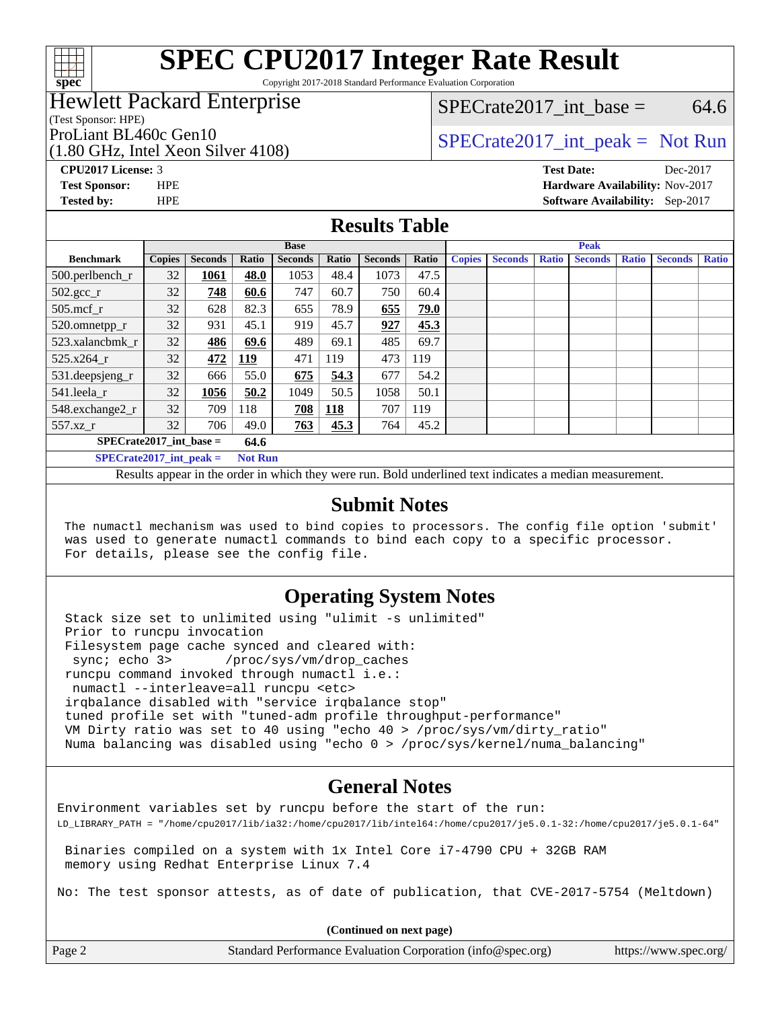

Copyright 2017-2018 Standard Performance Evaluation Corporation

### Hewlett Packard Enterprise

(Test Sponsor: HPE)

(1.80 GHz, Intel Xeon Silver 4108)

 $SPECTate2017\_int\_base = 64.6$ 

## ProLiant BL460c Gen10  $SPECTA = 108$   $SPECTA = 108$   $SPECTA = 108$

**[CPU2017 License:](http://www.spec.org/auto/cpu2017/Docs/result-fields.html#CPU2017License)** 3 **[Test Date:](http://www.spec.org/auto/cpu2017/Docs/result-fields.html#TestDate)** Dec-2017 **[Test Sponsor:](http://www.spec.org/auto/cpu2017/Docs/result-fields.html#TestSponsor)** HPE **[Hardware Availability:](http://www.spec.org/auto/cpu2017/Docs/result-fields.html#HardwareAvailability)** Nov-2017 **[Tested by:](http://www.spec.org/auto/cpu2017/Docs/result-fields.html#Testedby)** HPE **[Software Availability:](http://www.spec.org/auto/cpu2017/Docs/result-fields.html#SoftwareAvailability)** Sep-2017

#### **[Results Table](http://www.spec.org/auto/cpu2017/Docs/result-fields.html#ResultsTable)**

| <b>Base</b>                                 |               |                |            |                | <b>Peak</b> |                |             |               |                |              |                |              |                |              |
|---------------------------------------------|---------------|----------------|------------|----------------|-------------|----------------|-------------|---------------|----------------|--------------|----------------|--------------|----------------|--------------|
| <b>Benchmark</b>                            | <b>Copies</b> | <b>Seconds</b> | Ratio      | <b>Seconds</b> | Ratio       | <b>Seconds</b> | Ratio       | <b>Copies</b> | <b>Seconds</b> | <b>Ratio</b> | <b>Seconds</b> | <b>Ratio</b> | <b>Seconds</b> | <b>Ratio</b> |
| $500.$ perlbench_r                          | 32            | 1061           | 48.0       | 1053           | 48.4        | 1073           | 47.5        |               |                |              |                |              |                |              |
| $502.\text{sec}$                            | 32            | 748            | 60.6       | 747            | 60.7        | 750            | 60.4        |               |                |              |                |              |                |              |
| $505$ .mcf r                                | 32            | 628            | 82.3       | 655            | 78.9        | 655            | <b>79.0</b> |               |                |              |                |              |                |              |
| 520.omnetpp_r                               | 32            | 931            | 45.1       | 919            | 45.7        | 927            | 45.3        |               |                |              |                |              |                |              |
| 523.xalancbmk r                             | 32            | 486            | 69.6       | 489            | 69.1        | 485            | 69.7        |               |                |              |                |              |                |              |
| 525.x264 r                                  | 32            | 472            | <u>119</u> | 471            | 119         | 473            | 119         |               |                |              |                |              |                |              |
| $531.$ deepsjeng $_r$                       | 32            | 666            | 55.0       | 675            | 54.3        | 677            | 54.2        |               |                |              |                |              |                |              |
| 541.leela_r                                 | 32            | 1056           | 50.2       | 1049           | 50.5        | 1058           | 50.1        |               |                |              |                |              |                |              |
| 548.exchange2_r                             | 32            | 709            | 118        | 708            | 118         | 707            | 119         |               |                |              |                |              |                |              |
| 557.xz r                                    | 32            | 706            | 49.0       | 763            | 45.3        | 764            | 45.2        |               |                |              |                |              |                |              |
| $SPECrate2017$ int base =<br>64.6           |               |                |            |                |             |                |             |               |                |              |                |              |                |              |
| $SPECrate2017$ int peak =<br><b>Not Run</b> |               |                |            |                |             |                |             |               |                |              |                |              |                |              |

Results appear in the [order in which they were run.](http://www.spec.org/auto/cpu2017/Docs/result-fields.html#RunOrder) Bold underlined text [indicates a median measurement.](http://www.spec.org/auto/cpu2017/Docs/result-fields.html#Median)

#### **[Submit Notes](http://www.spec.org/auto/cpu2017/Docs/result-fields.html#SubmitNotes)**

 The numactl mechanism was used to bind copies to processors. The config file option 'submit' was used to generate numactl commands to bind each copy to a specific processor. For details, please see the config file.

### **[Operating System Notes](http://www.spec.org/auto/cpu2017/Docs/result-fields.html#OperatingSystemNotes)**

 Stack size set to unlimited using "ulimit -s unlimited" Prior to runcpu invocation Filesystem page cache synced and cleared with: sync; echo 3> /proc/sys/vm/drop\_caches runcpu command invoked through numactl i.e.: numactl --interleave=all runcpu <etc> irqbalance disabled with "service irqbalance stop" tuned profile set with "tuned-adm profile throughput-performance" VM Dirty ratio was set to 40 using "echo 40 > /proc/sys/vm/dirty\_ratio" Numa balancing was disabled using "echo 0 > /proc/sys/kernel/numa\_balancing"

### **[General Notes](http://www.spec.org/auto/cpu2017/Docs/result-fields.html#GeneralNotes)**

Environment variables set by runcpu before the start of the run: LD\_LIBRARY\_PATH = "/home/cpu2017/lib/ia32:/home/cpu2017/lib/intel64:/home/cpu2017/je5.0.1-32:/home/cpu2017/je5.0.1-64"

 Binaries compiled on a system with 1x Intel Core i7-4790 CPU + 32GB RAM memory using Redhat Enterprise Linux 7.4

No: The test sponsor attests, as of date of publication, that CVE-2017-5754 (Meltdown)

**(Continued on next page)**

| Page 2 | Standard Performance Evaluation Corporation (info@spec.org) | https://www.spec.org/ |
|--------|-------------------------------------------------------------|-----------------------|
|        |                                                             |                       |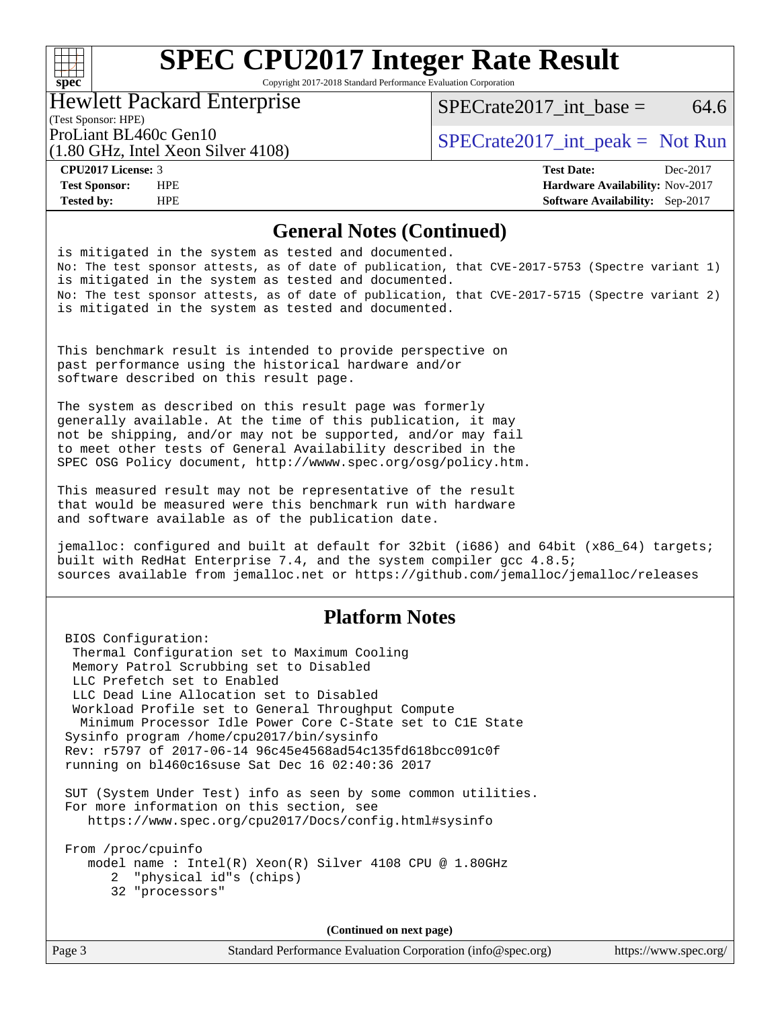### $+\ +$ **[spec](http://www.spec.org/)**

# **[SPEC CPU2017 Integer Rate Result](http://www.spec.org/auto/cpu2017/Docs/result-fields.html#SPECCPU2017IntegerRateResult)**

Copyright 2017-2018 Standard Performance Evaluation Corporation

### Hewlett Packard Enterprise

(1.80 GHz, Intel Xeon Silver 4108)

SPECrate2017 int\_base =  $64.6$ 

(Test Sponsor: HPE)

ProLiant BL460c Gen10  $SPECTA = 108$   $SPECTA = 108$   $SPECTA = 108$ 

**[Tested by:](http://www.spec.org/auto/cpu2017/Docs/result-fields.html#Testedby)** HPE **[Software Availability:](http://www.spec.org/auto/cpu2017/Docs/result-fields.html#SoftwareAvailability)** Sep-2017

**[CPU2017 License:](http://www.spec.org/auto/cpu2017/Docs/result-fields.html#CPU2017License)** 3 **[Test Date:](http://www.spec.org/auto/cpu2017/Docs/result-fields.html#TestDate)** Dec-2017 **[Test Sponsor:](http://www.spec.org/auto/cpu2017/Docs/result-fields.html#TestSponsor)** HPE **[Hardware Availability:](http://www.spec.org/auto/cpu2017/Docs/result-fields.html#HardwareAvailability)** Nov-2017

#### **[General Notes \(Continued\)](http://www.spec.org/auto/cpu2017/Docs/result-fields.html#GeneralNotes)**

is mitigated in the system as tested and documented. No: The test sponsor attests, as of date of publication, that CVE-2017-5753 (Spectre variant 1) is mitigated in the system as tested and documented. No: The test sponsor attests, as of date of publication, that CVE-2017-5715 (Spectre variant 2) is mitigated in the system as tested and documented.

This benchmark result is intended to provide perspective on past performance using the historical hardware and/or software described on this result page.

The system as described on this result page was formerly generally available. At the time of this publication, it may not be shipping, and/or may not be supported, and/or may fail to meet other tests of General Availability described in the SPEC OSG Policy document, <http://wwww.spec.org/osg/policy.htm.>

This measured result may not be representative of the result that would be measured were this benchmark run with hardware and software available as of the publication date.

jemalloc: configured and built at default for 32bit (i686) and 64bit (x86\_64) targets; built with RedHat Enterprise 7.4, and the system compiler gcc 4.8.5; sources available from jemalloc.net or <https://github.com/jemalloc/jemalloc/releases>

### **[Platform Notes](http://www.spec.org/auto/cpu2017/Docs/result-fields.html#PlatformNotes)**

 BIOS Configuration: Thermal Configuration set to Maximum Cooling Memory Patrol Scrubbing set to Disabled LLC Prefetch set to Enabled LLC Dead Line Allocation set to Disabled Workload Profile set to General Throughput Compute Minimum Processor Idle Power Core C-State set to C1E State Sysinfo program /home/cpu2017/bin/sysinfo Rev: r5797 of 2017-06-14 96c45e4568ad54c135fd618bcc091c0f running on bl460c16suse Sat Dec 16 02:40:36 2017 SUT (System Under Test) info as seen by some common utilities. For more information on this section, see <https://www.spec.org/cpu2017/Docs/config.html#sysinfo>

 From /proc/cpuinfo model name : Intel(R) Xeon(R) Silver 4108 CPU @ 1.80GHz 2 "physical id"s (chips) 32 "processors"

**(Continued on next page)**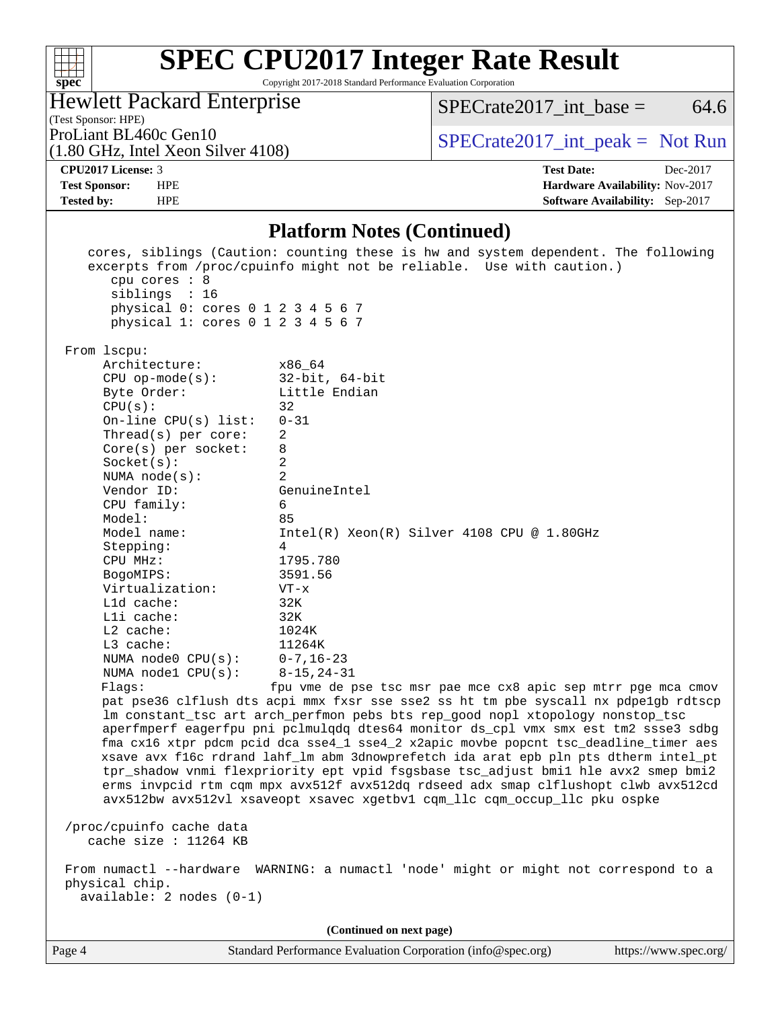

Copyright 2017-2018 Standard Performance Evaluation Corporation

| <b>Hewlett Packard Enterprise</b> |  |
|-----------------------------------|--|
| (Test Sponsor: HPE)               |  |

ProLiant BL460c Gen10<br>(1.80 GHz, Intel Xeon Silver 4108)  $\begin{array}{c|c}\n\text{SPECrate2017\_int\_peak = Not Run}\n\end{array}$  $SPECTate2017\_int\_base =$  64.6

(1.80 GHz, Intel Xeon Silver 4108)

**[CPU2017 License:](http://www.spec.org/auto/cpu2017/Docs/result-fields.html#CPU2017License)** 3 **[Test Date:](http://www.spec.org/auto/cpu2017/Docs/result-fields.html#TestDate)** Dec-2017 **[Test Sponsor:](http://www.spec.org/auto/cpu2017/Docs/result-fields.html#TestSponsor)** HPE **[Hardware Availability:](http://www.spec.org/auto/cpu2017/Docs/result-fields.html#HardwareAvailability)** Nov-2017 **[Tested by:](http://www.spec.org/auto/cpu2017/Docs/result-fields.html#Testedby)** HPE **HPE [Software Availability:](http://www.spec.org/auto/cpu2017/Docs/result-fields.html#SoftwareAvailability)** Sep-2017

#### **[Platform Notes \(Continued\)](http://www.spec.org/auto/cpu2017/Docs/result-fields.html#PlatformNotes)**

| cpu cores $: 8$<br>siblings : 16<br>physical 0: cores 0 1 2 3 4 5 6 7<br>physical 1: cores 0 1 2 3 4 5 6 7    | cores, siblings (Caution: counting these is hw and system dependent. The following<br>excerpts from /proc/cpuinfo might not be reliable. Use with caution.)                                                                                                                                                                                                                                                                                                                                                                                                                                                                                                                                                                                                         |
|---------------------------------------------------------------------------------------------------------------|---------------------------------------------------------------------------------------------------------------------------------------------------------------------------------------------------------------------------------------------------------------------------------------------------------------------------------------------------------------------------------------------------------------------------------------------------------------------------------------------------------------------------------------------------------------------------------------------------------------------------------------------------------------------------------------------------------------------------------------------------------------------|
| From 1scpu:                                                                                                   |                                                                                                                                                                                                                                                                                                                                                                                                                                                                                                                                                                                                                                                                                                                                                                     |
| Architecture:<br>$CPU$ op-mode(s):<br>Byte Order:<br>CPU(s):<br>On-line $CPU(s)$ list:<br>Thread(s) per core: | x86_64<br>32-bit, 64-bit<br>Little Endian<br>32<br>$0 - 31$<br>2                                                                                                                                                                                                                                                                                                                                                                                                                                                                                                                                                                                                                                                                                                    |
| $Core(s)$ per socket:                                                                                         | 8<br>2                                                                                                                                                                                                                                                                                                                                                                                                                                                                                                                                                                                                                                                                                                                                                              |
| Socket(s):<br>NUMA $node(s):$                                                                                 | 2                                                                                                                                                                                                                                                                                                                                                                                                                                                                                                                                                                                                                                                                                                                                                                   |
| Vendor ID:                                                                                                    | GenuineIntel                                                                                                                                                                                                                                                                                                                                                                                                                                                                                                                                                                                                                                                                                                                                                        |
| CPU family:<br>Model:                                                                                         | 6<br>85                                                                                                                                                                                                                                                                                                                                                                                                                                                                                                                                                                                                                                                                                                                                                             |
| Model name:                                                                                                   | $Intel(R) Xeon(R) Silver 4108 CPU @ 1.80GHz$                                                                                                                                                                                                                                                                                                                                                                                                                                                                                                                                                                                                                                                                                                                        |
| Stepping:                                                                                                     | 4                                                                                                                                                                                                                                                                                                                                                                                                                                                                                                                                                                                                                                                                                                                                                                   |
| CPU MHz:                                                                                                      | 1795.780                                                                                                                                                                                                                                                                                                                                                                                                                                                                                                                                                                                                                                                                                                                                                            |
| BogoMIPS:<br>Virtualization:                                                                                  | 3591.56<br>$VT - x$                                                                                                                                                                                                                                                                                                                                                                                                                                                                                                                                                                                                                                                                                                                                                 |
| Lld cache:                                                                                                    | 32K                                                                                                                                                                                                                                                                                                                                                                                                                                                                                                                                                                                                                                                                                                                                                                 |
| $L1i$ cache:                                                                                                  | 32K                                                                                                                                                                                                                                                                                                                                                                                                                                                                                                                                                                                                                                                                                                                                                                 |
| $L2$ cache:                                                                                                   | 1024K                                                                                                                                                                                                                                                                                                                                                                                                                                                                                                                                                                                                                                                                                                                                                               |
| L3 cache:                                                                                                     | 11264K                                                                                                                                                                                                                                                                                                                                                                                                                                                                                                                                                                                                                                                                                                                                                              |
| NUMA node0 CPU(s):                                                                                            | $0 - 7$ , 16-23                                                                                                                                                                                                                                                                                                                                                                                                                                                                                                                                                                                                                                                                                                                                                     |
| NUMA $node1$ $CPU(s):$                                                                                        | $8 - 15, 24 - 31$                                                                                                                                                                                                                                                                                                                                                                                                                                                                                                                                                                                                                                                                                                                                                   |
| Flaqs:                                                                                                        | fpu vme de pse tsc msr pae mce cx8 apic sep mtrr pge mca cmov<br>pat pse36 clflush dts acpi mmx fxsr sse sse2 ss ht tm pbe syscall nx pdpelgb rdtscp<br>lm constant_tsc art arch_perfmon pebs bts rep_good nopl xtopology nonstop_tsc<br>aperfmperf eagerfpu pni pclmulqdq dtes64 monitor ds_cpl vmx smx est tm2 ssse3 sdbg<br>fma cx16 xtpr pdcm pcid dca sse4_1 sse4_2 x2apic movbe popcnt tsc_deadline_timer aes<br>xsave avx f16c rdrand lahf_lm abm 3dnowprefetch ida arat epb pln pts dtherm intel_pt<br>tpr_shadow vnmi flexpriority ept vpid fsgsbase tsc_adjust bmil hle avx2 smep bmi2<br>erms invpcid rtm cqm mpx avx512f avx512dq rdseed adx smap clflushopt clwb avx512cd<br>avx512bw avx512vl xsaveopt xsavec xgetbvl cqm_llc cqm_occup_llc pku ospke |
| /proc/cpuinfo cache data<br>cache size : 11264 KB                                                             |                                                                                                                                                                                                                                                                                                                                                                                                                                                                                                                                                                                                                                                                                                                                                                     |
| physical chip.<br>$available: 2 nodes (0-1)$                                                                  | From numactl --hardware WARNING: a numactl 'node' might or might not correspond to a                                                                                                                                                                                                                                                                                                                                                                                                                                                                                                                                                                                                                                                                                |
|                                                                                                               |                                                                                                                                                                                                                                                                                                                                                                                                                                                                                                                                                                                                                                                                                                                                                                     |
|                                                                                                               | (Continued on next page)                                                                                                                                                                                                                                                                                                                                                                                                                                                                                                                                                                                                                                                                                                                                            |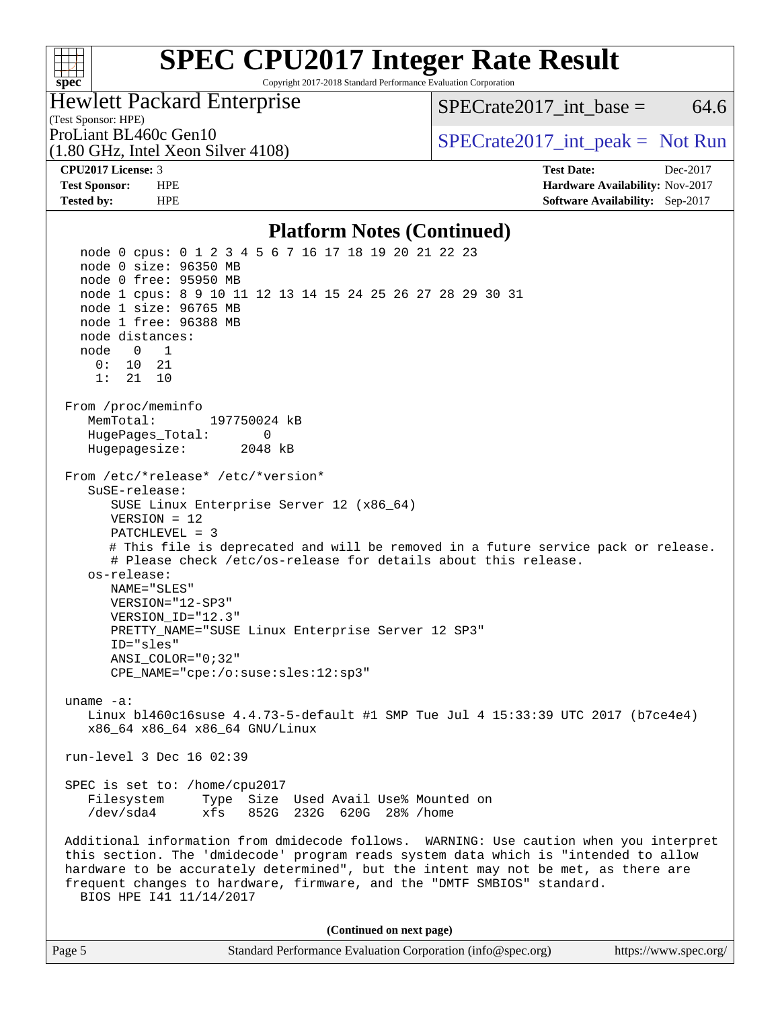## **[SPEC CPU2017 Integer Rate Result](http://www.spec.org/auto/cpu2017/Docs/result-fields.html#SPECCPU2017IntegerRateResult)** Copyright 2017-2018 Standard Performance Evaluation Corporation

Hewlett Packard Enterprise

(1.80 GHz, Intel Xeon Silver 4108)

 $SPECTate2017\_int\_base = 64.6$ 

(Test Sponsor: HPE)

ProLiant BL460c Gen10  $SPECTA = 108$   $SPECTA = 108$   $SPECTA = 108$ 

**[spec](http://www.spec.org/)**

 $+\!\!+\!\!$ 

**[CPU2017 License:](http://www.spec.org/auto/cpu2017/Docs/result-fields.html#CPU2017License)** 3 **[Test Date:](http://www.spec.org/auto/cpu2017/Docs/result-fields.html#TestDate)** Dec-2017 **[Test Sponsor:](http://www.spec.org/auto/cpu2017/Docs/result-fields.html#TestSponsor)** HPE **[Hardware Availability:](http://www.spec.org/auto/cpu2017/Docs/result-fields.html#HardwareAvailability)** Nov-2017 **[Tested by:](http://www.spec.org/auto/cpu2017/Docs/result-fields.html#Testedby)** HPE **[Software Availability:](http://www.spec.org/auto/cpu2017/Docs/result-fields.html#SoftwareAvailability)** Sep-2017

#### **[Platform Notes \(Continued\)](http://www.spec.org/auto/cpu2017/Docs/result-fields.html#PlatformNotes)**

 node 0 cpus: 0 1 2 3 4 5 6 7 16 17 18 19 20 21 22 23 node 0 size: 96350 MB node 0 free: 95950 MB node 1 cpus: 8 9 10 11 12 13 14 15 24 25 26 27 28 29 30 31 node 1 size: 96765 MB node 1 free: 96388 MB node distances: node 0 1 0: 10 21 1: 21 10 From /proc/meminfo MemTotal: 197750024 kB HugePages\_Total: 0 Hugepagesize: 2048 kB From /etc/\*release\* /etc/\*version\* SuSE-release: SUSE Linux Enterprise Server 12 (x86\_64) VERSION = 12 PATCHLEVEL = 3 # This file is deprecated and will be removed in a future service pack or release. # Please check /etc/os-release for details about this release. os-release: NAME="SLES" VERSION="12-SP3" VERSION\_ID="12.3" PRETTY\_NAME="SUSE Linux Enterprise Server 12 SP3" ID="sles" ANSI\_COLOR="0;32" CPE\_NAME="cpe:/o:suse:sles:12:sp3" uname -a: Linux bl460c16suse 4.4.73-5-default #1 SMP Tue Jul 4 15:33:39 UTC 2017 (b7ce4e4) x86\_64 x86\_64 x86\_64 GNU/Linux run-level 3 Dec 16 02:39 SPEC is set to: /home/cpu2017 Filesystem Type Size Used Avail Use% Mounted on /dev/sda4 xfs 852G 232G 620G 28% /home Additional information from dmidecode follows. WARNING: Use caution when you interpret this section. The 'dmidecode' program reads system data which is "intended to allow hardware to be accurately determined", but the intent may not be met, as there are frequent changes to hardware, firmware, and the "DMTF SMBIOS" standard. BIOS HPE I41 11/14/2017 **(Continued on next page)**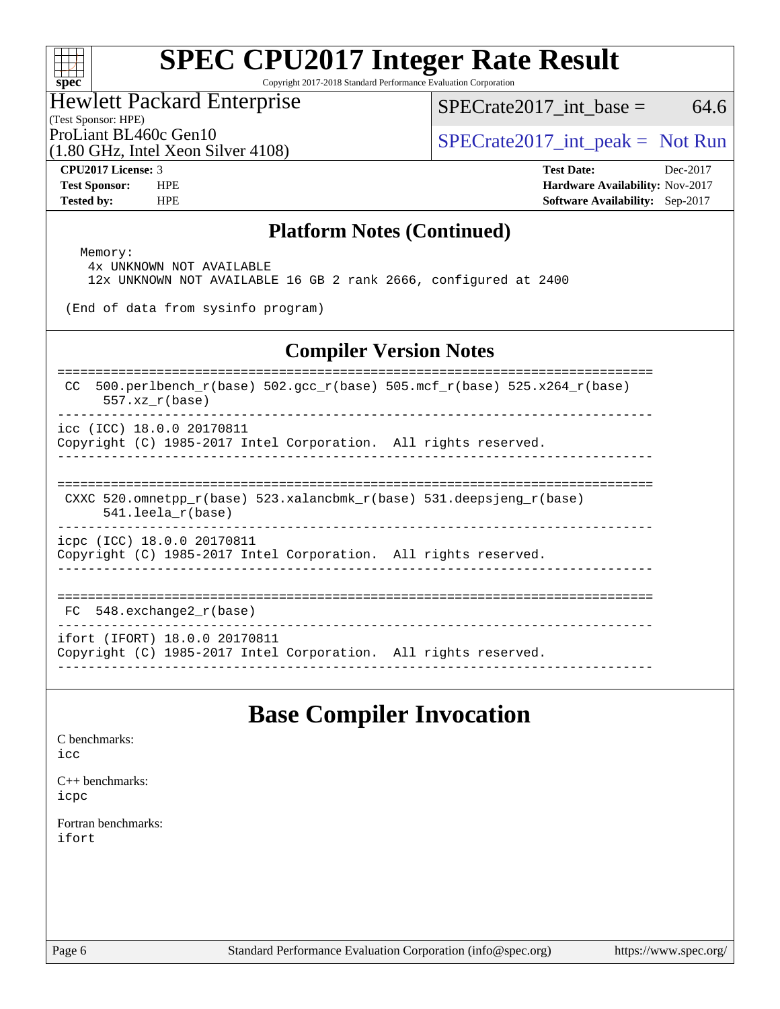#### $+\!\!+\!\!$ **[spec](http://www.spec.org/)**

# **[SPEC CPU2017 Integer Rate Result](http://www.spec.org/auto/cpu2017/Docs/result-fields.html#SPECCPU2017IntegerRateResult)**

Copyright 2017-2018 Standard Performance Evaluation Corporation

#### Hewlett Packard Enterprise

 $SPECTate2017\_int\_base = 64.6$ 

(Test Sponsor: HPE)

(1.80 GHz, Intel Xeon Silver 4108)

ProLiant BL460c Gen10<br>  $\begin{array}{r} \text{SPECrate2017\_int\_peak} = \text{Not Run} \\ \text{SPECrate2017\_int\_peak} = \text{Not Run} \end{array}$ 

**[CPU2017 License:](http://www.spec.org/auto/cpu2017/Docs/result-fields.html#CPU2017License)** 3 **[Test Date:](http://www.spec.org/auto/cpu2017/Docs/result-fields.html#TestDate)** Dec-2017 **[Test Sponsor:](http://www.spec.org/auto/cpu2017/Docs/result-fields.html#TestSponsor)** HPE **[Hardware Availability:](http://www.spec.org/auto/cpu2017/Docs/result-fields.html#HardwareAvailability)** Nov-2017 **[Tested by:](http://www.spec.org/auto/cpu2017/Docs/result-fields.html#Testedby)** HPE **[Software Availability:](http://www.spec.org/auto/cpu2017/Docs/result-fields.html#SoftwareAvailability)** Sep-2017

#### **[Platform Notes \(Continued\)](http://www.spec.org/auto/cpu2017/Docs/result-fields.html#PlatformNotes)**

 Memory: 4x UNKNOWN NOT AVAILABLE 12x UNKNOWN NOT AVAILABLE 16 GB 2 rank 2666, configured at 2400

(End of data from sysinfo program)

### **[Compiler Version Notes](http://www.spec.org/auto/cpu2017/Docs/result-fields.html#CompilerVersionNotes)**

============================================================================== CC 500.perlbench  $r(base)$  502.gcc  $r(base)$  505.mcf  $r(base)$  525.x264  $r(base)$  557.xz\_r(base) ------------------------------------------------------------------------------

icc (ICC) 18.0.0 20170811

Copyright (C) 1985-2017 Intel Corporation. All rights reserved. ------------------------------------------------------------------------------

============================================================================== CXXC 520.omnetpp\_r(base) 523.xalancbmk\_r(base) 531.deepsjeng\_r(base)

541.leela\_r(base)

------------------------------------------------------------------------------

icpc (ICC) 18.0.0 20170811 Copyright (C) 1985-2017 Intel Corporation. All rights reserved.

------------------------------------------------------------------------------

==============================================================================

 FC 548.exchange2\_r(base) ------------------------------------------------------------------------------

ifort (IFORT) 18.0.0 20170811

Copyright (C) 1985-2017 Intel Corporation. All rights reserved. ------------------------------------------------------------------------------

## **[Base Compiler Invocation](http://www.spec.org/auto/cpu2017/Docs/result-fields.html#BaseCompilerInvocation)**

[C benchmarks](http://www.spec.org/auto/cpu2017/Docs/result-fields.html#Cbenchmarks): [icc](http://www.spec.org/cpu2017/results/res2018q2/cpu2017-20171226-02237.flags.html#user_CCbase_intel_icc_18.0_66fc1ee009f7361af1fbd72ca7dcefbb700085f36577c54f309893dd4ec40d12360134090235512931783d35fd58c0460139e722d5067c5574d8eaf2b3e37e92)

[C++ benchmarks:](http://www.spec.org/auto/cpu2017/Docs/result-fields.html#CXXbenchmarks) [icpc](http://www.spec.org/cpu2017/results/res2018q2/cpu2017-20171226-02237.flags.html#user_CXXbase_intel_icpc_18.0_c510b6838c7f56d33e37e94d029a35b4a7bccf4766a728ee175e80a419847e808290a9b78be685c44ab727ea267ec2f070ec5dc83b407c0218cded6866a35d07)

[Fortran benchmarks](http://www.spec.org/auto/cpu2017/Docs/result-fields.html#Fortranbenchmarks): [ifort](http://www.spec.org/cpu2017/results/res2018q2/cpu2017-20171226-02237.flags.html#user_FCbase_intel_ifort_18.0_8111460550e3ca792625aed983ce982f94888b8b503583aa7ba2b8303487b4d8a21a13e7191a45c5fd58ff318f48f9492884d4413fa793fd88dd292cad7027ca)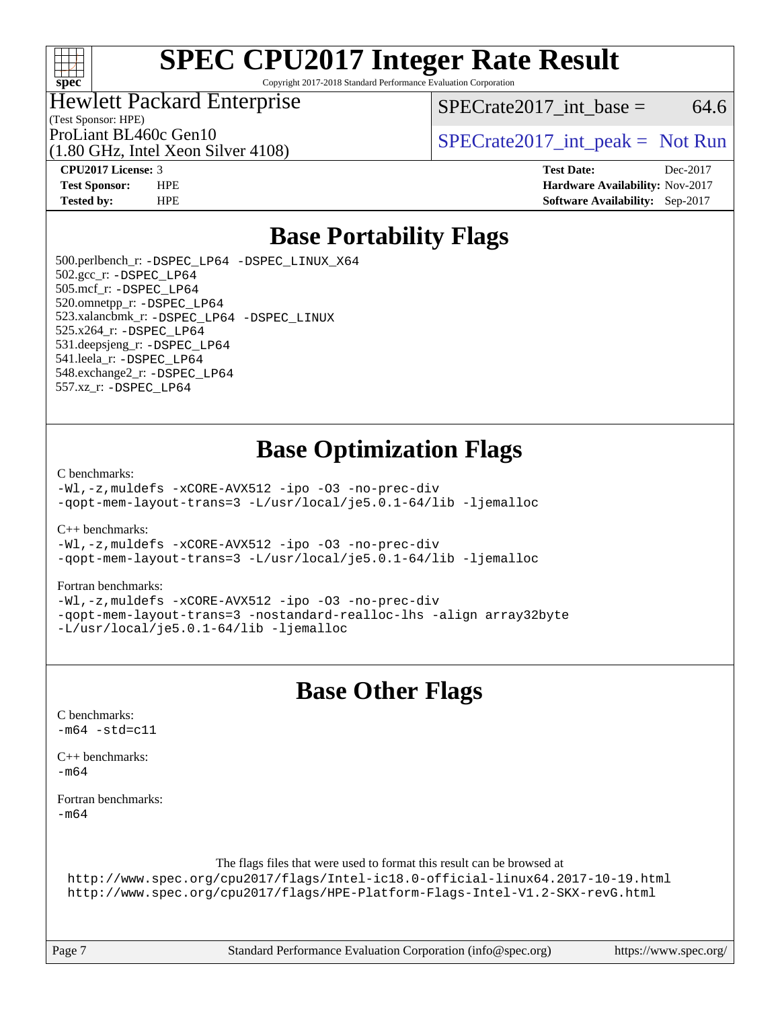

Copyright 2017-2018 Standard Performance Evaluation Corporation

#### Hewlett Packard Enterprise

 $SPECTate2017\_int\_base = 64.6$ 

(Test Sponsor: HPE)

(1.80 GHz, Intel Xeon Silver 4108)

ProLiant BL460c Gen10<br>  $SPECTR$  [SPECrate2017\\_int\\_peak =](http://www.spec.org/auto/cpu2017/Docs/result-fields.html#SPECrate2017intpeak) Not Run

**[CPU2017 License:](http://www.spec.org/auto/cpu2017/Docs/result-fields.html#CPU2017License)** 3 **[Test Date:](http://www.spec.org/auto/cpu2017/Docs/result-fields.html#TestDate)** Dec-2017 **[Test Sponsor:](http://www.spec.org/auto/cpu2017/Docs/result-fields.html#TestSponsor)** HPE **[Hardware Availability:](http://www.spec.org/auto/cpu2017/Docs/result-fields.html#HardwareAvailability)** Nov-2017 **[Tested by:](http://www.spec.org/auto/cpu2017/Docs/result-fields.html#Testedby)** HPE **[Software Availability:](http://www.spec.org/auto/cpu2017/Docs/result-fields.html#SoftwareAvailability)** Sep-2017

## **[Base Portability Flags](http://www.spec.org/auto/cpu2017/Docs/result-fields.html#BasePortabilityFlags)**

 500.perlbench\_r: [-DSPEC\\_LP64](http://www.spec.org/cpu2017/results/res2018q2/cpu2017-20171226-02237.flags.html#b500.perlbench_r_basePORTABILITY_DSPEC_LP64) [-DSPEC\\_LINUX\\_X64](http://www.spec.org/cpu2017/results/res2018q2/cpu2017-20171226-02237.flags.html#b500.perlbench_r_baseCPORTABILITY_DSPEC_LINUX_X64) 502.gcc\_r: [-DSPEC\\_LP64](http://www.spec.org/cpu2017/results/res2018q2/cpu2017-20171226-02237.flags.html#suite_basePORTABILITY502_gcc_r_DSPEC_LP64) 505.mcf\_r: [-DSPEC\\_LP64](http://www.spec.org/cpu2017/results/res2018q2/cpu2017-20171226-02237.flags.html#suite_basePORTABILITY505_mcf_r_DSPEC_LP64) 520.omnetpp\_r: [-DSPEC\\_LP64](http://www.spec.org/cpu2017/results/res2018q2/cpu2017-20171226-02237.flags.html#suite_basePORTABILITY520_omnetpp_r_DSPEC_LP64) 523.xalancbmk\_r: [-DSPEC\\_LP64](http://www.spec.org/cpu2017/results/res2018q2/cpu2017-20171226-02237.flags.html#suite_basePORTABILITY523_xalancbmk_r_DSPEC_LP64) [-DSPEC\\_LINUX](http://www.spec.org/cpu2017/results/res2018q2/cpu2017-20171226-02237.flags.html#b523.xalancbmk_r_baseCXXPORTABILITY_DSPEC_LINUX) 525.x264\_r: [-DSPEC\\_LP64](http://www.spec.org/cpu2017/results/res2018q2/cpu2017-20171226-02237.flags.html#suite_basePORTABILITY525_x264_r_DSPEC_LP64) 531.deepsjeng\_r: [-DSPEC\\_LP64](http://www.spec.org/cpu2017/results/res2018q2/cpu2017-20171226-02237.flags.html#suite_basePORTABILITY531_deepsjeng_r_DSPEC_LP64) 541.leela\_r: [-DSPEC\\_LP64](http://www.spec.org/cpu2017/results/res2018q2/cpu2017-20171226-02237.flags.html#suite_basePORTABILITY541_leela_r_DSPEC_LP64) 548.exchange2\_r: [-DSPEC\\_LP64](http://www.spec.org/cpu2017/results/res2018q2/cpu2017-20171226-02237.flags.html#suite_basePORTABILITY548_exchange2_r_DSPEC_LP64) 557.xz\_r: [-DSPEC\\_LP64](http://www.spec.org/cpu2017/results/res2018q2/cpu2017-20171226-02237.flags.html#suite_basePORTABILITY557_xz_r_DSPEC_LP64)

## **[Base Optimization Flags](http://www.spec.org/auto/cpu2017/Docs/result-fields.html#BaseOptimizationFlags)**

[C benchmarks](http://www.spec.org/auto/cpu2017/Docs/result-fields.html#Cbenchmarks):

[-Wl,-z,muldefs](http://www.spec.org/cpu2017/results/res2018q2/cpu2017-20171226-02237.flags.html#user_CCbase_link_force_multiple1_b4cbdb97b34bdee9ceefcfe54f4c8ea74255f0b02a4b23e853cdb0e18eb4525ac79b5a88067c842dd0ee6996c24547a27a4b99331201badda8798ef8a743f577) [-xCORE-AVX512](http://www.spec.org/cpu2017/results/res2018q2/cpu2017-20171226-02237.flags.html#user_CCbase_f-xCORE-AVX512) [-ipo](http://www.spec.org/cpu2017/results/res2018q2/cpu2017-20171226-02237.flags.html#user_CCbase_f-ipo) [-O3](http://www.spec.org/cpu2017/results/res2018q2/cpu2017-20171226-02237.flags.html#user_CCbase_f-O3) [-no-prec-div](http://www.spec.org/cpu2017/results/res2018q2/cpu2017-20171226-02237.flags.html#user_CCbase_f-no-prec-div) [-qopt-mem-layout-trans=3](http://www.spec.org/cpu2017/results/res2018q2/cpu2017-20171226-02237.flags.html#user_CCbase_f-qopt-mem-layout-trans_de80db37974c74b1f0e20d883f0b675c88c3b01e9d123adea9b28688d64333345fb62bc4a798493513fdb68f60282f9a726aa07f478b2f7113531aecce732043) [-L/usr/local/je5.0.1-64/lib](http://www.spec.org/cpu2017/results/res2018q2/cpu2017-20171226-02237.flags.html#user_CCbase_jemalloc_link_path64_4b10a636b7bce113509b17f3bd0d6226c5fb2346b9178c2d0232c14f04ab830f976640479e5c33dc2bcbbdad86ecfb6634cbbd4418746f06f368b512fced5394) [-ljemalloc](http://www.spec.org/cpu2017/results/res2018q2/cpu2017-20171226-02237.flags.html#user_CCbase_jemalloc_link_lib_d1249b907c500fa1c0672f44f562e3d0f79738ae9e3c4a9c376d49f265a04b9c99b167ecedbf6711b3085be911c67ff61f150a17b3472be731631ba4d0471706)

[C++ benchmarks:](http://www.spec.org/auto/cpu2017/Docs/result-fields.html#CXXbenchmarks)

[-Wl,-z,muldefs](http://www.spec.org/cpu2017/results/res2018q2/cpu2017-20171226-02237.flags.html#user_CXXbase_link_force_multiple1_b4cbdb97b34bdee9ceefcfe54f4c8ea74255f0b02a4b23e853cdb0e18eb4525ac79b5a88067c842dd0ee6996c24547a27a4b99331201badda8798ef8a743f577) [-xCORE-AVX512](http://www.spec.org/cpu2017/results/res2018q2/cpu2017-20171226-02237.flags.html#user_CXXbase_f-xCORE-AVX512) [-ipo](http://www.spec.org/cpu2017/results/res2018q2/cpu2017-20171226-02237.flags.html#user_CXXbase_f-ipo) [-O3](http://www.spec.org/cpu2017/results/res2018q2/cpu2017-20171226-02237.flags.html#user_CXXbase_f-O3) [-no-prec-div](http://www.spec.org/cpu2017/results/res2018q2/cpu2017-20171226-02237.flags.html#user_CXXbase_f-no-prec-div) [-qopt-mem-layout-trans=3](http://www.spec.org/cpu2017/results/res2018q2/cpu2017-20171226-02237.flags.html#user_CXXbase_f-qopt-mem-layout-trans_de80db37974c74b1f0e20d883f0b675c88c3b01e9d123adea9b28688d64333345fb62bc4a798493513fdb68f60282f9a726aa07f478b2f7113531aecce732043) [-L/usr/local/je5.0.1-64/lib](http://www.spec.org/cpu2017/results/res2018q2/cpu2017-20171226-02237.flags.html#user_CXXbase_jemalloc_link_path64_4b10a636b7bce113509b17f3bd0d6226c5fb2346b9178c2d0232c14f04ab830f976640479e5c33dc2bcbbdad86ecfb6634cbbd4418746f06f368b512fced5394) [-ljemalloc](http://www.spec.org/cpu2017/results/res2018q2/cpu2017-20171226-02237.flags.html#user_CXXbase_jemalloc_link_lib_d1249b907c500fa1c0672f44f562e3d0f79738ae9e3c4a9c376d49f265a04b9c99b167ecedbf6711b3085be911c67ff61f150a17b3472be731631ba4d0471706)

[Fortran benchmarks](http://www.spec.org/auto/cpu2017/Docs/result-fields.html#Fortranbenchmarks):

[-Wl,-z,muldefs](http://www.spec.org/cpu2017/results/res2018q2/cpu2017-20171226-02237.flags.html#user_FCbase_link_force_multiple1_b4cbdb97b34bdee9ceefcfe54f4c8ea74255f0b02a4b23e853cdb0e18eb4525ac79b5a88067c842dd0ee6996c24547a27a4b99331201badda8798ef8a743f577) [-xCORE-AVX512](http://www.spec.org/cpu2017/results/res2018q2/cpu2017-20171226-02237.flags.html#user_FCbase_f-xCORE-AVX512) [-ipo](http://www.spec.org/cpu2017/results/res2018q2/cpu2017-20171226-02237.flags.html#user_FCbase_f-ipo) [-O3](http://www.spec.org/cpu2017/results/res2018q2/cpu2017-20171226-02237.flags.html#user_FCbase_f-O3) [-no-prec-div](http://www.spec.org/cpu2017/results/res2018q2/cpu2017-20171226-02237.flags.html#user_FCbase_f-no-prec-div) [-qopt-mem-layout-trans=3](http://www.spec.org/cpu2017/results/res2018q2/cpu2017-20171226-02237.flags.html#user_FCbase_f-qopt-mem-layout-trans_de80db37974c74b1f0e20d883f0b675c88c3b01e9d123adea9b28688d64333345fb62bc4a798493513fdb68f60282f9a726aa07f478b2f7113531aecce732043) [-nostandard-realloc-lhs](http://www.spec.org/cpu2017/results/res2018q2/cpu2017-20171226-02237.flags.html#user_FCbase_f_2003_std_realloc_82b4557e90729c0f113870c07e44d33d6f5a304b4f63d4c15d2d0f1fab99f5daaed73bdb9275d9ae411527f28b936061aa8b9c8f2d63842963b95c9dd6426b8a) [-align array32byte](http://www.spec.org/cpu2017/results/res2018q2/cpu2017-20171226-02237.flags.html#user_FCbase_align_array32byte_b982fe038af199962ba9a80c053b8342c548c85b40b8e86eb3cc33dee0d7986a4af373ac2d51c3f7cf710a18d62fdce2948f201cd044323541f22fc0fffc51b6) [-L/usr/local/je5.0.1-64/lib](http://www.spec.org/cpu2017/results/res2018q2/cpu2017-20171226-02237.flags.html#user_FCbase_jemalloc_link_path64_4b10a636b7bce113509b17f3bd0d6226c5fb2346b9178c2d0232c14f04ab830f976640479e5c33dc2bcbbdad86ecfb6634cbbd4418746f06f368b512fced5394) [-ljemalloc](http://www.spec.org/cpu2017/results/res2018q2/cpu2017-20171226-02237.flags.html#user_FCbase_jemalloc_link_lib_d1249b907c500fa1c0672f44f562e3d0f79738ae9e3c4a9c376d49f265a04b9c99b167ecedbf6711b3085be911c67ff61f150a17b3472be731631ba4d0471706)

## **[Base Other Flags](http://www.spec.org/auto/cpu2017/Docs/result-fields.html#BaseOtherFlags)**

[C benchmarks](http://www.spec.org/auto/cpu2017/Docs/result-fields.html#Cbenchmarks):  $-m64 - std= c11$  $-m64 - std= c11$ [C++ benchmarks:](http://www.spec.org/auto/cpu2017/Docs/result-fields.html#CXXbenchmarks)  $-m64$ [Fortran benchmarks](http://www.spec.org/auto/cpu2017/Docs/result-fields.html#Fortranbenchmarks): [-m64](http://www.spec.org/cpu2017/results/res2018q2/cpu2017-20171226-02237.flags.html#user_FCbase_intel_intel64_18.0_af43caccfc8ded86e7699f2159af6efc7655f51387b94da716254467f3c01020a5059329e2569e4053f409e7c9202a7efc638f7a6d1ffb3f52dea4a3e31d82ab)

The flags files that were used to format this result can be browsed at

<http://www.spec.org/cpu2017/flags/Intel-ic18.0-official-linux64.2017-10-19.html> <http://www.spec.org/cpu2017/flags/HPE-Platform-Flags-Intel-V1.2-SKX-revG.html>